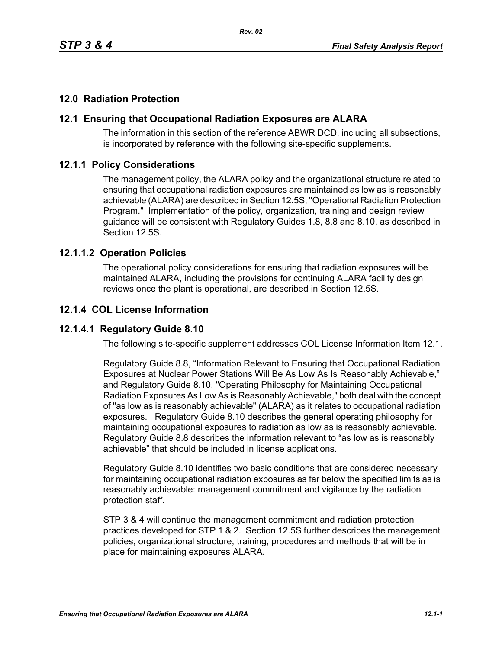### **12.0 Radiation Protection**

#### **12.1 Ensuring that Occupational Radiation Exposures are ALARA**

The information in this section of the reference ABWR DCD, including all subsections, is incorporated by reference with the following site-specific supplements.

#### **12.1.1 Policy Considerations**

The management policy, the ALARA policy and the organizational structure related to ensuring that occupational radiation exposures are maintained as low as is reasonably achievable (ALARA) are described in Section 12.5S, "Operational Radiation Protection Program." Implementation of the policy, organization, training and design review guidance will be consistent with Regulatory Guides 1.8, 8.8 and 8.10, as described in Section 12.5S.

#### **12.1.1.2 Operation Policies**

The operational policy considerations for ensuring that radiation exposures will be maintained ALARA, including the provisions for continuing ALARA facility design reviews once the plant is operational, are described in Section 12.5S.

#### **12.1.4 COL License Information**

#### **12.1.4.1 Regulatory Guide 8.10**

The following site-specific supplement addresses COL License Information Item 12.1.

Regulatory Guide 8.8, "Information Relevant to Ensuring that Occupational Radiation Exposures at Nuclear Power Stations Will Be As Low As Is Reasonably Achievable," and Regulatory Guide 8.10, "Operating Philosophy for Maintaining Occupational Radiation Exposures As Low As is Reasonably Achievable," both deal with the concept of "as low as is reasonably achievable" (ALARA) as it relates to occupational radiation exposures. Regulatory Guide 8.10 describes the general operating philosophy for maintaining occupational exposures to radiation as low as is reasonably achievable. Regulatory Guide 8.8 describes the information relevant to "as low as is reasonably achievable" that should be included in license applications.

Regulatory Guide 8.10 identifies two basic conditions that are considered necessary for maintaining occupational radiation exposures as far below the specified limits as is reasonably achievable: management commitment and vigilance by the radiation protection staff.

STP 3 & 4 will continue the management commitment and radiation protection practices developed for STP 1 & 2. Section 12.5S further describes the management policies, organizational structure, training, procedures and methods that will be in place for maintaining exposures ALARA.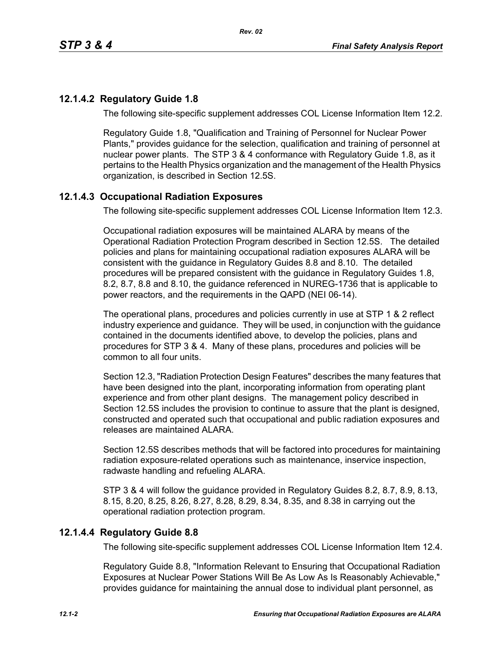## **12.1.4.2 Regulatory Guide 1.8**

The following site-specific supplement addresses COL License Information Item 12.2.

Regulatory Guide 1.8, "Qualification and Training of Personnel for Nuclear Power Plants," provides guidance for the selection, qualification and training of personnel at nuclear power plants. The STP 3 & 4 conformance with Regulatory Guide 1.8, as it pertains to the Health Physics organization and the management of the Health Physics organization, is described in Section 12.5S.

# **12.1.4.3 Occupational Radiation Exposures**

The following site-specific supplement addresses COL License Information Item 12.3.

Occupational radiation exposures will be maintained ALARA by means of the Operational Radiation Protection Program described in Section 12.5S. The detailed policies and plans for maintaining occupational radiation exposures ALARA will be consistent with the guidance in Regulatory Guides 8.8 and 8.10. The detailed procedures will be prepared consistent with the guidance in Regulatory Guides 1.8, 8.2, 8.7, 8.8 and 8.10, the guidance referenced in NUREG-1736 that is applicable to power reactors, and the requirements in the QAPD (NEI 06-14).

The operational plans, procedures and policies currently in use at STP 1 & 2 reflect industry experience and guidance. They will be used, in conjunction with the guidance contained in the documents identified above, to develop the policies, plans and procedures for STP 3 & 4. Many of these plans, procedures and policies will be common to all four units.

Section 12.3, "Radiation Protection Design Features" describes the many features that have been designed into the plant, incorporating information from operating plant experience and from other plant designs. The management policy described in Section 12.5S includes the provision to continue to assure that the plant is designed, constructed and operated such that occupational and public radiation exposures and releases are maintained ALARA

Section 12.5S describes methods that will be factored into procedures for maintaining radiation exposure-related operations such as maintenance, inservice inspection, radwaste handling and refueling ALARA.

STP 3 & 4 will follow the guidance provided in Regulatory Guides 8.2, 8.7, 8.9, 8.13, 8.15, 8.20, 8.25, 8.26, 8.27, 8.28, 8.29, 8.34, 8.35, and 8.38 in carrying out the operational radiation protection program.

### **12.1.4.4 Regulatory Guide 8.8**

The following site-specific supplement addresses COL License Information Item 12.4.

Regulatory Guide 8.8, "Information Relevant to Ensuring that Occupational Radiation Exposures at Nuclear Power Stations Will Be As Low As Is Reasonably Achievable," provides guidance for maintaining the annual dose to individual plant personnel, as